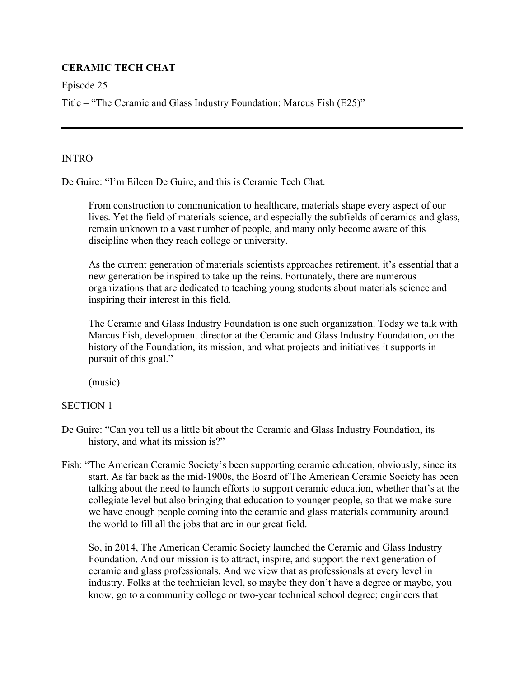# **CERAMIC TECH CHAT**

Episode 25

Title – "The Ceramic and Glass Industry Foundation: Marcus Fish (E25)"

# INTRO

De Guire: "I'm Eileen De Guire, and this is Ceramic Tech Chat.

 From construction to communication to healthcare, materials shape every aspect of our lives. Yet the field of materials science, and especially the subfields of ceramics and glass, remain unknown to a vast number of people, and many only become aware of this discipline when they reach college or university.

 As the current generation of materials scientists approaches retirement, it's essential that a new generation be inspired to take up the reins. Fortunately, there are numerous organizations that are dedicated to teaching young students about materials science and inspiring their interest in this field.

 The Ceramic and Glass Industry Foundation is one such organization. Today we talk with Marcus Fish, development director at the Ceramic and Glass Industry Foundation, on the history of the Foundation, its mission, and what projects and initiatives it supports in pursuit of this goal."

(music)

# SECTION 1

- De Guire: "Can you tell us a little bit about the Ceramic and Glass Industry Foundation, its history, and what its mission is?"
- Fish: "The American Ceramic Society's been supporting ceramic education, obviously, since its start. As far back as the mid-1900s, the Board of The American Ceramic Society has been talking about the need to launch efforts to support ceramic education, whether that's at the collegiate level but also bringing that education to younger people, so that we make sure we have enough people coming into the ceramic and glass materials community around the world to fill all the jobs that are in our great field.

So, in 2014, The American Ceramic Society launched the Ceramic and Glass Industry Foundation. And our mission is to attract, inspire, and support the next generation of ceramic and glass professionals. And we view that as professionals at every level in industry. Folks at the technician level, so maybe they don't have a degree or maybe, you know, go to a community college or two-year technical school degree; engineers that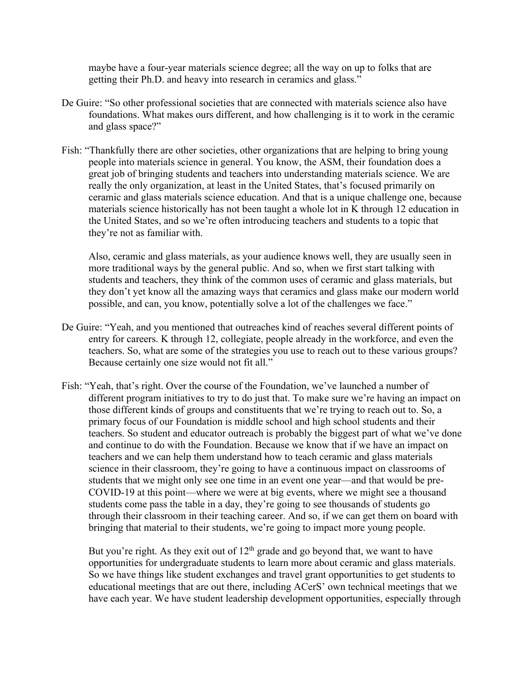maybe have a four-year materials science degree; all the way on up to folks that are getting their Ph.D. and heavy into research in ceramics and glass."

- De Guire: "So other professional societies that are connected with materials science also have foundations. What makes ours different, and how challenging is it to work in the ceramic and glass space?"
- Fish: "Thankfully there are other societies, other organizations that are helping to bring young people into materials science in general. You know, the ASM, their foundation does a great job of bringing students and teachers into understanding materials science. We are really the only organization, at least in the United States, that's focused primarily on ceramic and glass materials science education. And that is a unique challenge one, because materials science historically has not been taught a whole lot in K through 12 education in the United States, and so we're often introducing teachers and students to a topic that they're not as familiar with.

Also, ceramic and glass materials, as your audience knows well, they are usually seen in more traditional ways by the general public. And so, when we first start talking with students and teachers, they think of the common uses of ceramic and glass materials, but they don't yet know all the amazing ways that ceramics and glass make our modern world possible, and can, you know, potentially solve a lot of the challenges we face."

- De Guire: "Yeah, and you mentioned that outreaches kind of reaches several different points of entry for careers. K through 12, collegiate, people already in the workforce, and even the teachers. So, what are some of the strategies you use to reach out to these various groups? Because certainly one size would not fit all."
- Fish: "Yeah, that's right. Over the course of the Foundation, we've launched a number of different program initiatives to try to do just that. To make sure we're having an impact on those different kinds of groups and constituents that we're trying to reach out to. So, a primary focus of our Foundation is middle school and high school students and their teachers. So student and educator outreach is probably the biggest part of what we've done and continue to do with the Foundation. Because we know that if we have an impact on teachers and we can help them understand how to teach ceramic and glass materials science in their classroom, they're going to have a continuous impact on classrooms of students that we might only see one time in an event one year—and that would be pre-COVID-19 at this point—where we were at big events, where we might see a thousand students come pass the table in a day, they're going to see thousands of students go through their classroom in their teaching career. And so, if we can get them on board with bringing that material to their students, we're going to impact more young people.

But you're right. As they exit out of  $12<sup>th</sup>$  grade and go beyond that, we want to have opportunities for undergraduate students to learn more about ceramic and glass materials. So we have things like student exchanges and travel grant opportunities to get students to educational meetings that are out there, including ACerS' own technical meetings that we have each year. We have student leadership development opportunities, especially through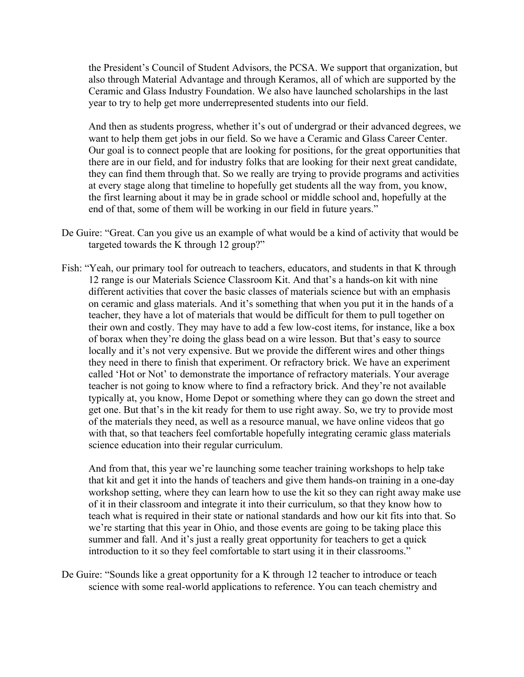the President's Council of Student Advisors, the PCSA. We support that organization, but also through Material Advantage and through Keramos, all of which are supported by the Ceramic and Glass Industry Foundation. We also have launched scholarships in the last year to try to help get more underrepresented students into our field.

And then as students progress, whether it's out of undergrad or their advanced degrees, we want to help them get jobs in our field. So we have a Ceramic and Glass Career Center. Our goal is to connect people that are looking for positions, for the great opportunities that there are in our field, and for industry folks that are looking for their next great candidate, they can find them through that. So we really are trying to provide programs and activities at every stage along that timeline to hopefully get students all the way from, you know, the first learning about it may be in grade school or middle school and, hopefully at the end of that, some of them will be working in our field in future years."

- De Guire: "Great. Can you give us an example of what would be a kind of activity that would be targeted towards the K through 12 group?"
- Fish: "Yeah, our primary tool for outreach to teachers, educators, and students in that K through 12 range is our Materials Science Classroom Kit. And that's a hands-on kit with nine different activities that cover the basic classes of materials science but with an emphasis on ceramic and glass materials. And it's something that when you put it in the hands of a teacher, they have a lot of materials that would be difficult for them to pull together on their own and costly. They may have to add a few low-cost items, for instance, like a box of borax when they're doing the glass bead on a wire lesson. But that's easy to source locally and it's not very expensive. But we provide the different wires and other things they need in there to finish that experiment. Or refractory brick. We have an experiment called 'Hot or Not' to demonstrate the importance of refractory materials. Your average teacher is not going to know where to find a refractory brick. And they're not available typically at, you know, Home Depot or something where they can go down the street and get one. But that's in the kit ready for them to use right away. So, we try to provide most of the materials they need, as well as a resource manual, we have online videos that go with that, so that teachers feel comfortable hopefully integrating ceramic glass materials science education into their regular curriculum.

And from that, this year we're launching some teacher training workshops to help take that kit and get it into the hands of teachers and give them hands-on training in a one-day workshop setting, where they can learn how to use the kit so they can right away make use of it in their classroom and integrate it into their curriculum, so that they know how to teach what is required in their state or national standards and how our kit fits into that. So we're starting that this year in Ohio, and those events are going to be taking place this summer and fall. And it's just a really great opportunity for teachers to get a quick introduction to it so they feel comfortable to start using it in their classrooms."

De Guire: "Sounds like a great opportunity for a K through 12 teacher to introduce or teach science with some real-world applications to reference. You can teach chemistry and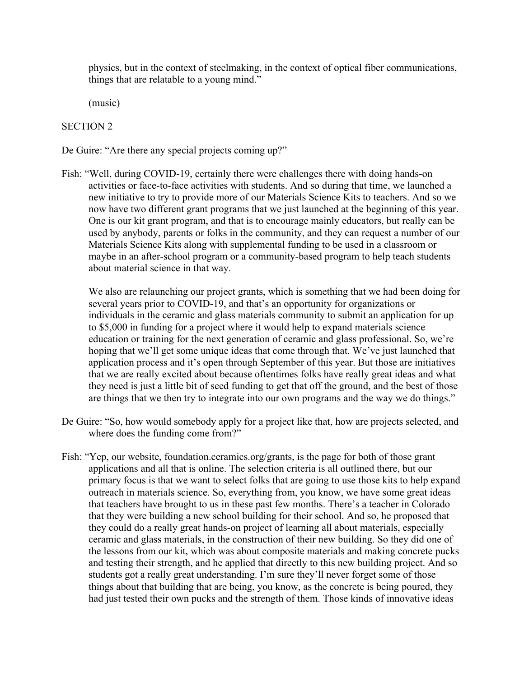physics, but in the context of steelmaking, in the context of optical fiber communications, things that are relatable to a young mind."

(music)

### SECTION 2

De Guire: "Are there any special projects coming up?"

Fish: "Well, during COVID-19, certainly there were challenges there with doing hands-on activities or face-to-face activities with students. And so during that time, we launched a new initiative to try to provide more of our Materials Science Kits to teachers. And so we now have two different grant programs that we just launched at the beginning of this year. One is our kit grant program, and that is to encourage mainly educators, but really can be used by anybody, parents or folks in the community, and they can request a number of our Materials Science Kits along with supplemental funding to be used in a classroom or maybe in an after-school program or a community-based program to help teach students about material science in that way.

We also are relaunching our project grants, which is something that we had been doing for several years prior to COVID-19, and that's an opportunity for organizations or individuals in the ceramic and glass materials community to submit an application for up to \$5,000 in funding for a project where it would help to expand materials science education or training for the next generation of ceramic and glass professional. So, we're hoping that we'll get some unique ideas that come through that. We've just launched that application process and it's open through September of this year. But those are initiatives that we are really excited about because oftentimes folks have really great ideas and what they need is just a little bit of seed funding to get that off the ground, and the best of those are things that we then try to integrate into our own programs and the way we do things."

- De Guire: "So, how would somebody apply for a project like that, how are projects selected, and where does the funding come from?"
- Fish: "Yep, our website, foundation.ceramics.org/grants, is the page for both of those grant applications and all that is online. The selection criteria is all outlined there, but our primary focus is that we want to select folks that are going to use those kits to help expand outreach in materials science. So, everything from, you know, we have some great ideas that teachers have brought to us in these past few months. There's a teacher in Colorado that they were building a new school building for their school. And so, he proposed that they could do a really great hands-on project of learning all about materials, especially ceramic and glass materials, in the construction of their new building. So they did one of the lessons from our kit, which was about composite materials and making concrete pucks and testing their strength, and he applied that directly to this new building project. And so students got a really great understanding. I'm sure they'll never forget some of those things about that building that are being, you know, as the concrete is being poured, they had just tested their own pucks and the strength of them. Those kinds of innovative ideas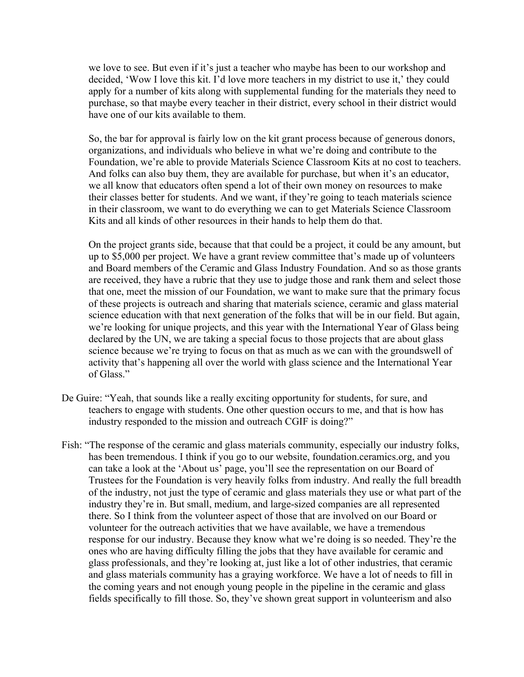we love to see. But even if it's just a teacher who maybe has been to our workshop and decided, 'Wow I love this kit. I'd love more teachers in my district to use it,' they could apply for a number of kits along with supplemental funding for the materials they need to purchase, so that maybe every teacher in their district, every school in their district would have one of our kits available to them.

So, the bar for approval is fairly low on the kit grant process because of generous donors, organizations, and individuals who believe in what we're doing and contribute to the Foundation, we're able to provide Materials Science Classroom Kits at no cost to teachers. And folks can also buy them, they are available for purchase, but when it's an educator, we all know that educators often spend a lot of their own money on resources to make their classes better for students. And we want, if they're going to teach materials science in their classroom, we want to do everything we can to get Materials Science Classroom Kits and all kinds of other resources in their hands to help them do that.

On the project grants side, because that that could be a project, it could be any amount, but up to \$5,000 per project. We have a grant review committee that's made up of volunteers and Board members of the Ceramic and Glass Industry Foundation. And so as those grants are received, they have a rubric that they use to judge those and rank them and select those that one, meet the mission of our Foundation, we want to make sure that the primary focus of these projects is outreach and sharing that materials science, ceramic and glass material science education with that next generation of the folks that will be in our field. But again, we're looking for unique projects, and this year with the International Year of Glass being declared by the UN, we are taking a special focus to those projects that are about glass science because we're trying to focus on that as much as we can with the groundswell of activity that's happening all over the world with glass science and the International Year of Glass."

- De Guire: "Yeah, that sounds like a really exciting opportunity for students, for sure, and teachers to engage with students. One other question occurs to me, and that is how has industry responded to the mission and outreach CGIF is doing?"
- Fish: "The response of the ceramic and glass materials community, especially our industry folks, has been tremendous. I think if you go to our website, foundation.ceramics.org, and you can take a look at the 'About us' page, you'll see the representation on our Board of Trustees for the Foundation is very heavily folks from industry. And really the full breadth of the industry, not just the type of ceramic and glass materials they use or what part of the industry they're in. But small, medium, and large-sized companies are all represented there. So I think from the volunteer aspect of those that are involved on our Board or volunteer for the outreach activities that we have available, we have a tremendous response for our industry. Because they know what we're doing is so needed. They're the ones who are having difficulty filling the jobs that they have available for ceramic and glass professionals, and they're looking at, just like a lot of other industries, that ceramic and glass materials community has a graying workforce. We have a lot of needs to fill in the coming years and not enough young people in the pipeline in the ceramic and glass fields specifically to fill those. So, they've shown great support in volunteerism and also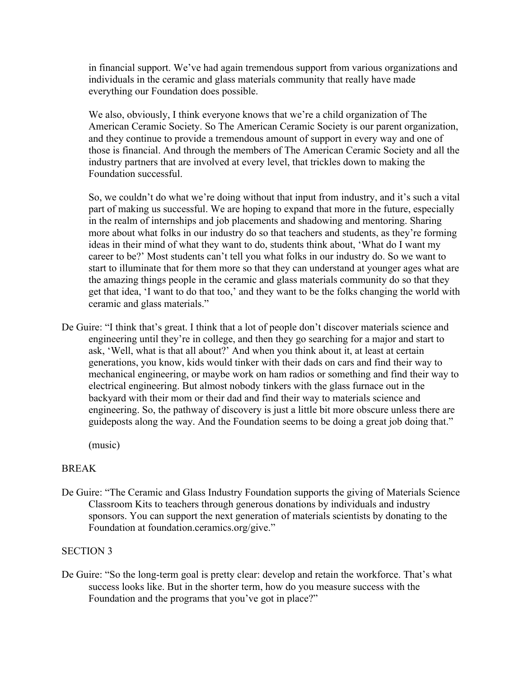in financial support. We've had again tremendous support from various organizations and individuals in the ceramic and glass materials community that really have made everything our Foundation does possible.

We also, obviously, I think everyone knows that we're a child organization of The American Ceramic Society. So The American Ceramic Society is our parent organization, and they continue to provide a tremendous amount of support in every way and one of those is financial. And through the members of The American Ceramic Society and all the industry partners that are involved at every level, that trickles down to making the Foundation successful.

So, we couldn't do what we're doing without that input from industry, and it's such a vital part of making us successful. We are hoping to expand that more in the future, especially in the realm of internships and job placements and shadowing and mentoring. Sharing more about what folks in our industry do so that teachers and students, as they're forming ideas in their mind of what they want to do, students think about, 'What do I want my career to be?' Most students can't tell you what folks in our industry do. So we want to start to illuminate that for them more so that they can understand at younger ages what are the amazing things people in the ceramic and glass materials community do so that they get that idea, 'I want to do that too,' and they want to be the folks changing the world with ceramic and glass materials."

De Guire: "I think that's great. I think that a lot of people don't discover materials science and engineering until they're in college, and then they go searching for a major and start to ask, 'Well, what is that all about?' And when you think about it, at least at certain generations, you know, kids would tinker with their dads on cars and find their way to mechanical engineering, or maybe work on ham radios or something and find their way to electrical engineering. But almost nobody tinkers with the glass furnace out in the backyard with their mom or their dad and find their way to materials science and engineering. So, the pathway of discovery is just a little bit more obscure unless there are guideposts along the way. And the Foundation seems to be doing a great job doing that."

(music)

# BREAK

De Guire: "The Ceramic and Glass Industry Foundation supports the giving of Materials Science Classroom Kits to teachers through generous donations by individuals and industry sponsors. You can support the next generation of materials scientists by donating to the Foundation at foundation.ceramics.org/give."

# SECTION 3

De Guire: "So the long-term goal is pretty clear: develop and retain the workforce. That's what success looks like. But in the shorter term, how do you measure success with the Foundation and the programs that you've got in place?"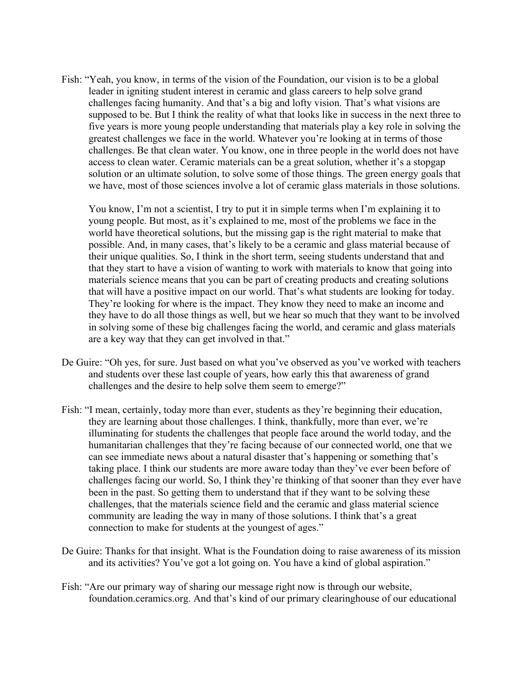Fish: "Yeah, you know, in terms of the vision of the Foundation, our vision is to be a global leader in igniting student interest in ceramic and glass careers to help solve grand challenges facing humanity. And that's a big and lofty vision. That's what visions are supposed to be. But I think the reality of what that looks like in success in the next three to five years is more young people understanding that materials play a key role in solving the greatest challenges we face in the world. Whatever you're looking at in terms of those challenges. Be that clean water. You know, one in three people in the world does not have access to clean water. Ceramic materials can be a great solution, whether it's a stopgap solution or an ultimate solution, to solve some of those things. The green energy goals that we have, most of those sciences involve a lot of ceramic glass materials in those solutions.

You know, I'm not a scientist, I try to put it in simple terms when I'm explaining it to young people. But most, as it's explained to me, most of the problems we face in the world have theoretical solutions, but the missing gap is the right material to make that possible. And, in many cases, that's likely to be a ceramic and glass material because of their unique qualities. So, I think in the short term, seeing students understand that and that they start to have a vision of wanting to work with materials to know that going into materials science means that you can be part of creating products and creating solutions that will have a positive impact on our world. That's what students are looking for today. They're looking for where is the impact. They know they need to make an income and they have to do all those things as well, but we hear so much that they want to be involved in solving some of these big challenges facing the world, and ceramic and glass materials are a key way that they can get involved in that."

- De Guire: "Oh yes, for sure. Just based on what you've observed as you've worked with teachers and students over these last couple of years, how early this that awareness of grand challenges and the desire to help solve them seem to emerge?"
- Fish: "I mean, certainly, today more than ever, students as they're beginning their education, they are learning about those challenges. I think, thankfully, more than ever, we're illuminating for students the challenges that people face around the world today, and the humanitarian challenges that they're facing because of our connected world, one that we can see immediate news about a natural disaster that's happening or something that's taking place. I think our students are more aware today than they've ever been before of challenges facing our world. So, I think they're thinking of that sooner than they ever have been in the past. So getting them to understand that if they want to be solving these challenges, that the materials science field and the ceramic and glass material science community are leading the way in many of those solutions. I think that's a great connection to make for students at the youngest of ages."
- De Guire: Thanks for that insight. What is the Foundation doing to raise awareness of its mission and its activities? You've got a lot going on. You have a kind of global aspiration."
- Fish: "Are our primary way of sharing our message right now is through our website, foundation.ceramics.org. And that's kind of our primary clearinghouse of our educational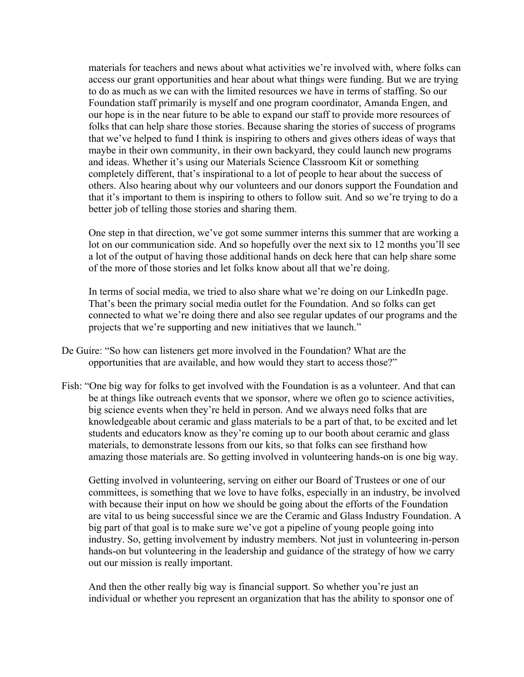materials for teachers and news about what activities we're involved with, where folks can access our grant opportunities and hear about what things were funding. But we are trying to do as much as we can with the limited resources we have in terms of staffing. So our Foundation staff primarily is myself and one program coordinator, Amanda Engen, and our hope is in the near future to be able to expand our staff to provide more resources of folks that can help share those stories. Because sharing the stories of success of programs that we've helped to fund I think is inspiring to others and gives others ideas of ways that maybe in their own community, in their own backyard, they could launch new programs and ideas. Whether it's using our Materials Science Classroom Kit or something completely different, that's inspirational to a lot of people to hear about the success of others. Also hearing about why our volunteers and our donors support the Foundation and that it's important to them is inspiring to others to follow suit. And so we're trying to do a better job of telling those stories and sharing them.

One step in that direction, we've got some summer interns this summer that are working a lot on our communication side. And so hopefully over the next six to 12 months you'll see a lot of the output of having those additional hands on deck here that can help share some of the more of those stories and let folks know about all that we're doing.

In terms of social media, we tried to also share what we're doing on our LinkedIn page. That's been the primary social media outlet for the Foundation. And so folks can get connected to what we're doing there and also see regular updates of our programs and the projects that we're supporting and new initiatives that we launch."

- De Guire: "So how can listeners get more involved in the Foundation? What are the opportunities that are available, and how would they start to access those?"
- Fish: "One big way for folks to get involved with the Foundation is as a volunteer. And that can be at things like outreach events that we sponsor, where we often go to science activities, big science events when they're held in person. And we always need folks that are knowledgeable about ceramic and glass materials to be a part of that, to be excited and let students and educators know as they're coming up to our booth about ceramic and glass materials, to demonstrate lessons from our kits, so that folks can see firsthand how amazing those materials are. So getting involved in volunteering hands-on is one big way.

Getting involved in volunteering, serving on either our Board of Trustees or one of our committees, is something that we love to have folks, especially in an industry, be involved with because their input on how we should be going about the efforts of the Foundation are vital to us being successful since we are the Ceramic and Glass Industry Foundation. A big part of that goal is to make sure we've got a pipeline of young people going into industry. So, getting involvement by industry members. Not just in volunteering in-person hands-on but volunteering in the leadership and guidance of the strategy of how we carry out our mission is really important.

And then the other really big way is financial support. So whether you're just an individual or whether you represent an organization that has the ability to sponsor one of